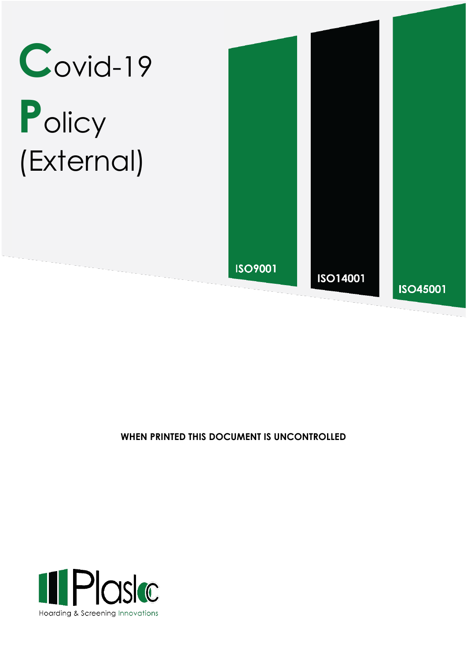

# Policy (External)



### WHEN PRINTED THIS DOCUMENT IS UNCONTROLLED

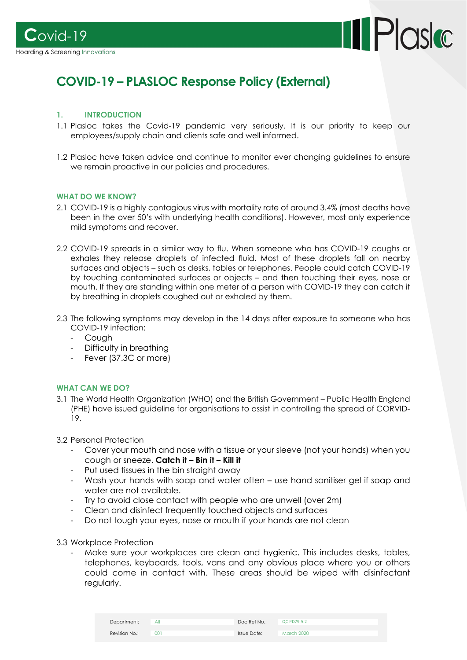



## **COVID-19 – PLASLOC Response Policy (External)**

#### **1. INTRODUCTION**

- 1.1 Plasloc takes the Covid-19 pandemic very seriously. It is our priority to keep our employees/supply chain and clients safe and well informed.
- 1.2 Plasloc have taken advice and continue to monitor ever changing guidelines to ensure we remain proactive in our policies and procedures.

#### **WHAT DO WE KNOW?**

- 2.1 COVID-19 is a highly contagious virus with mortality rate of around 3.4% (most deaths have been in the over 50's with underlying health conditions). However, most only experience mild symptoms and recover.
- 2.2 COVID-19 spreads in a similar way to flu. When someone who has COVID-19 coughs or exhales they release droplets of infected fluid. Most of these droplets fall on nearby surfaces and objects – such as desks, tables or telephones. People could catch COVID-19 by touching contaminated surfaces or objects – and then touching their eyes, nose or mouth. If they are standing within one meter of a person with COVID-19 they can catch it by breathing in droplets coughed out or exhaled by them.
- 2.3 The following symptoms may develop in the 14 days after exposure to someone who has COVID-19 infection:
	- Cough
	- Difficulty in breathing
	- Fever (37.3C or more)

#### **WHAT CAN WE DO?**

- 3.1 The World Health Organization (WHO) and the British Government Public Health England (PHE) have issued guideline for organisations to assist in controlling the spread of CORVID-19.
- 3.2 Personal Protection
	- Cover your mouth and nose with a tissue or your sleeve (not your hands) when you cough or sneeze. **Catch it – Bin it – Kill it**
	- Put used tissues in the bin straight away
	- Wash your hands with soap and water often use hand sanitiser gel if soap and water are not available.
	- Try to avoid close contact with people who are unwell (over 2m)
	- Clean and disinfect frequently touched objects and surfaces
	- Do not tough your eyes, nose or mouth if your hands are not clean
- 3.3 Workplace Protection
	- Make sure your workplaces are clean and hygienic. This includes desks, tables, telephones, keyboards, tools, vans and any obvious place where you or others could come in contact with. These areas should be wiped with disinfectant regularly.

| Department:   | All | Doc Ref No.: | QC-PD79-5.2 |
|---------------|-----|--------------|-------------|
| Revision No.: | 001 | Issue Date:  | March 2020  |